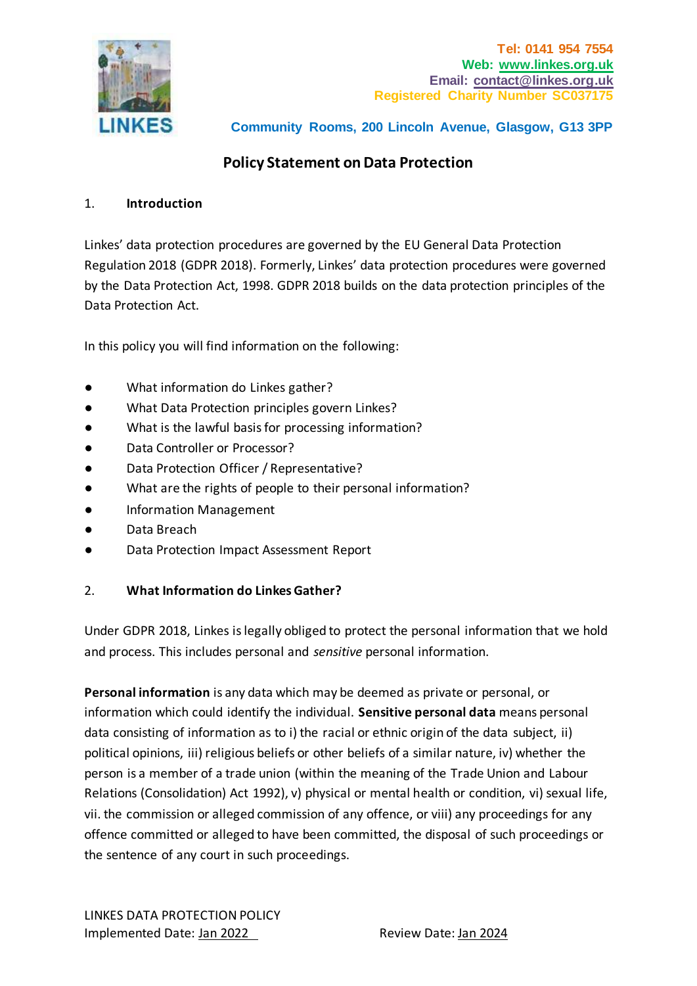

# **Policy Statement on Data Protection**

#### 1. **Introduction**

Linkes' data protection procedures are governed by the EU General Data Protection Regulation 2018 (GDPR 2018). Formerly, Linkes' data protection procedures were governed by the Data Protection Act, 1998. GDPR 2018 builds on the data protection principles of the Data Protection Act.

In this policy you will find information on the following:

- What information do Linkes gather?
- What Data Protection principles govern Linkes?
- What is the lawful basis for processing information?
- Data Controller or Processor?
- Data Protection Officer / Representative?
- What are the rights of people to their personal information?
- Information Management
- Data Breach
- Data Protection Impact Assessment Report

### 2. **What Information do Linkes Gather?**

Under GDPR 2018, Linkes is legally obliged to protect the personal information that we hold and process. This includes personal and *sensitive* personal information.

**Personal information** is any data which may be deemed as private or personal, or information which could identify the individual. **Sensitive personal data** means personal data consisting of information as to i) the racial or ethnic origin of the data subject, ii) political opinions, iii) religious beliefs or other beliefs of a similar nature, iv) whether the person is a member of a trade union (within the meaning of the Trade Union and Labour Relations (Consolidation) Act 1992), v) physical or mental health or condition, vi) sexual life, vii. the commission or alleged commission of any offence, or viii) any proceedings for any offence committed or alleged to have been committed, the disposal of such proceedings or the sentence of any court in such proceedings.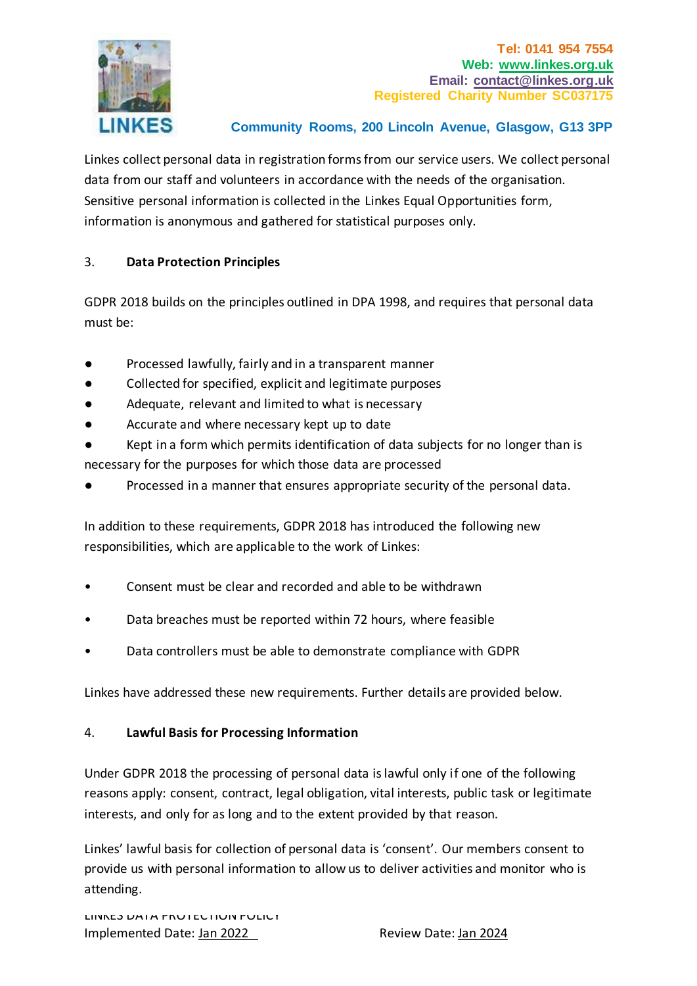

Linkes collect personal data in registration forms from our service users. We collect personal data from our staff and volunteers in accordance with the needs of the organisation. Sensitive personal information is collected in the Linkes Equal Opportunities form, information is anonymous and gathered for statistical purposes only.

## 3. **Data Protection Principles**

GDPR 2018 builds on the principles outlined in DPA 1998, and requires that personal data must be:

- Processed lawfully, fairly and in a transparent manner
- Collected for specified, explicit and legitimate purposes
- Adequate, relevant and limited to what is necessary
- Accurate and where necessary kept up to date
- Kept in a form which permits identification of data subjects for no longer than is necessary for the purposes for which those data are processed
- Processed in a manner that ensures appropriate security of the personal data.

In addition to these requirements, GDPR 2018 has introduced the following new responsibilities, which are applicable to the work of Linkes:

- Consent must be clear and recorded and able to be withdrawn
- Data breaches must be reported within 72 hours, where feasible
- Data controllers must be able to demonstrate compliance with GDPR

Linkes have addressed these new requirements. Further details are provided below.

### 4. **Lawful Basis for Processing Information**

Under GDPR 2018 the processing of personal data is lawful only if one of the following reasons apply: consent, contract, legal obligation, vital interests, public task or legitimate interests, and only for as long and to the extent provided by that reason.

Linkes' lawful basis for collection of personal data is 'consent'. Our members consent to provide us with personal information to allow us to deliver activities and monitor who is attending.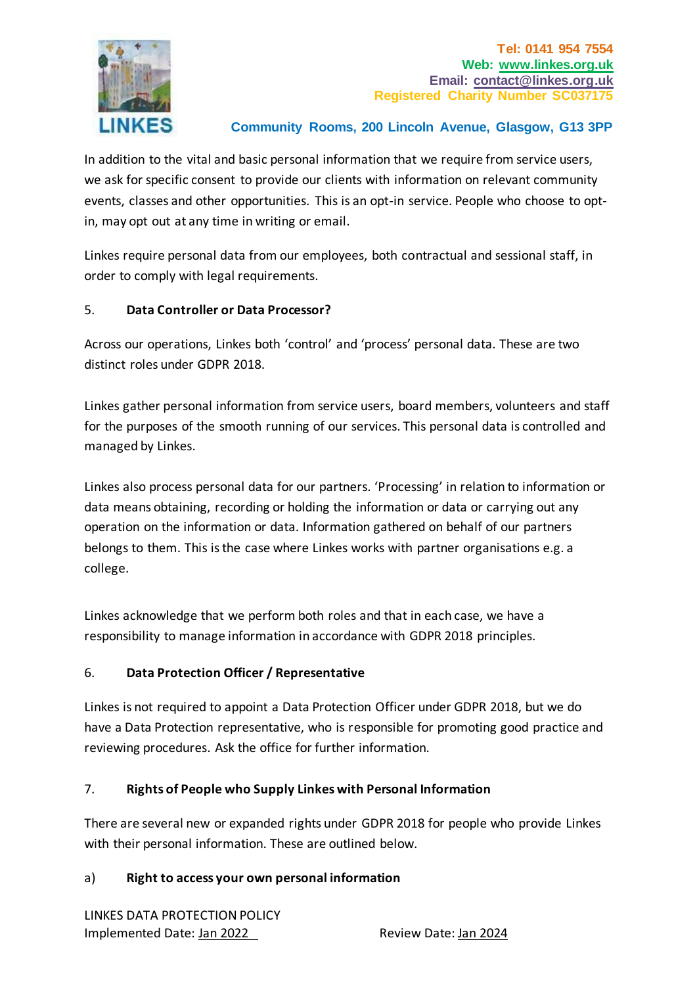

In addition to the vital and basic personal information that we require from service users, we ask for specific consent to provide our clients with information on relevant community events, classes and other opportunities. This is an opt-in service. People who choose to optin, may opt out at any time in writing or email.

Linkes require personal data from our employees, both contractual and sessional staff, in order to comply with legal requirements.

### 5. **Data Controller or Data Processor?**

Across our operations, Linkes both 'control' and 'process' personal data. These are two distinct roles under GDPR 2018.

Linkes gather personal information from service users, board members, volunteers and staff for the purposes of the smooth running of our services. This personal data is controlled and managed by Linkes.

Linkes also process personal data for our partners. 'Processing' in relation to information or data means obtaining, recording or holding the information or data or carrying out any operation on the information or data. Information gathered on behalf of our partners belongs to them. This is the case where Linkes works with partner organisations e.g. a college.

Linkes acknowledge that we perform both roles and that in each case, we have a responsibility to manage information in accordance with GDPR 2018 principles.

## 6. **Data Protection Officer / Representative**

Linkes is not required to appoint a Data Protection Officer under GDPR 2018, but we do have a Data Protection representative, who is responsible for promoting good practice and reviewing procedures. Ask the office for further information.

## 7. **Rights of People who Supply Linkes with Personal Information**

There are several new or expanded rights under GDPR 2018 for people who provide Linkes with their personal information. These are outlined below.

### a) **Right to access your own personal information**

LINKES DATA PROTECTION POLICY Implemented Date: Jan 2022 Review Date: Jan 2024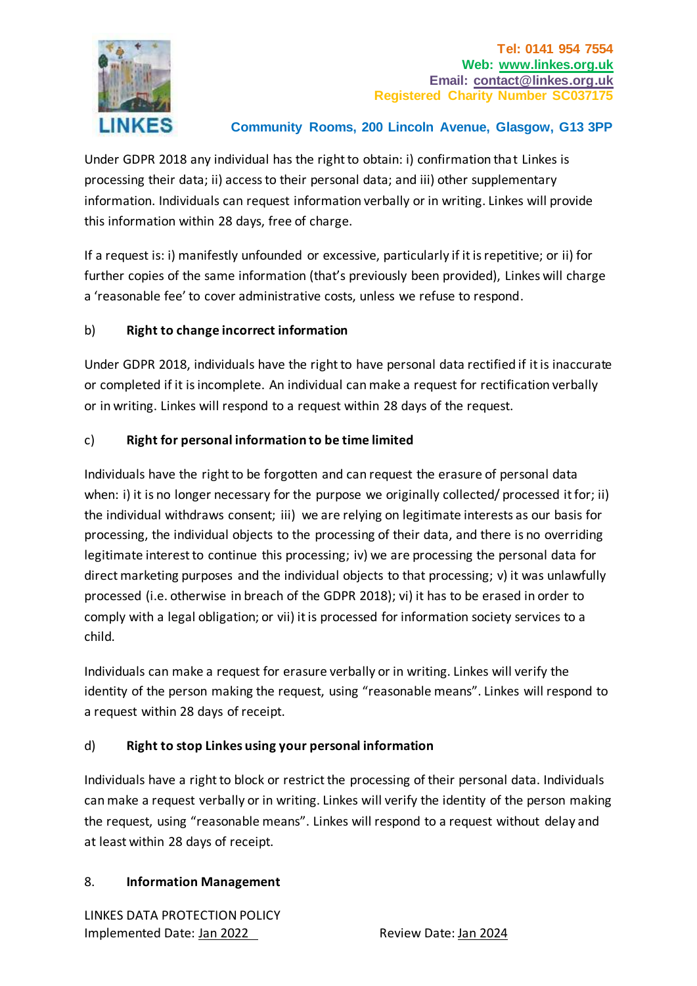

Under GDPR 2018 any individual has the right to obtain: i) confirmation that Linkes is processing their data; ii) access to their personal data; and iii) other supplementary information. Individuals can request information verbally or in writing. Linkes will provide this information within 28 days, free of charge.

If a request is: i) manifestly unfounded or excessive, particularly if it is repetitive; or ii) for further copies of the same information (that's previously been provided), Linkes will charge a 'reasonable fee' to cover administrative costs, unless we refuse to respond.

### b) **Right to change incorrect information**

Under GDPR 2018, individuals have the right to have personal data rectified if it is inaccurate or completed if it is incomplete. An individual can make a request for rectification verbally or in writing. Linkes will respond to a request within 28 days of the request.

### c) **Right for personal information to be time limited**

Individuals have the right to be forgotten and can request the erasure of personal data when: i) it is no longer necessary for the purpose we originally collected/ processed it for; ii) the individual withdraws consent; iii) we are relying on legitimate interests as our basis for processing, the individual objects to the processing of their data, and there is no overriding legitimate interest to continue this processing; iv) we are processing the personal data for direct marketing purposes and the individual objects to that processing; v) it was unlawfully processed (i.e. otherwise in breach of the GDPR 2018); vi) it has to be erased in order to comply with a legal obligation; or vii) it is processed for information society services to a child.

Individuals can make a request for erasure verbally or in writing. Linkes will verify the identity of the person making the request, using "reasonable means". Linkes will respond to a request within 28 days of receipt.

### d) **Right to stop Linkes using your personal information**

Individuals have a right to block or restrict the processing of their personal data. Individuals can make a request verbally or in writing. Linkes will verify the identity of the person making the request, using "reasonable means". Linkes will respond to a request without delay and at least within 28 days of receipt.

### 8. **Information Management**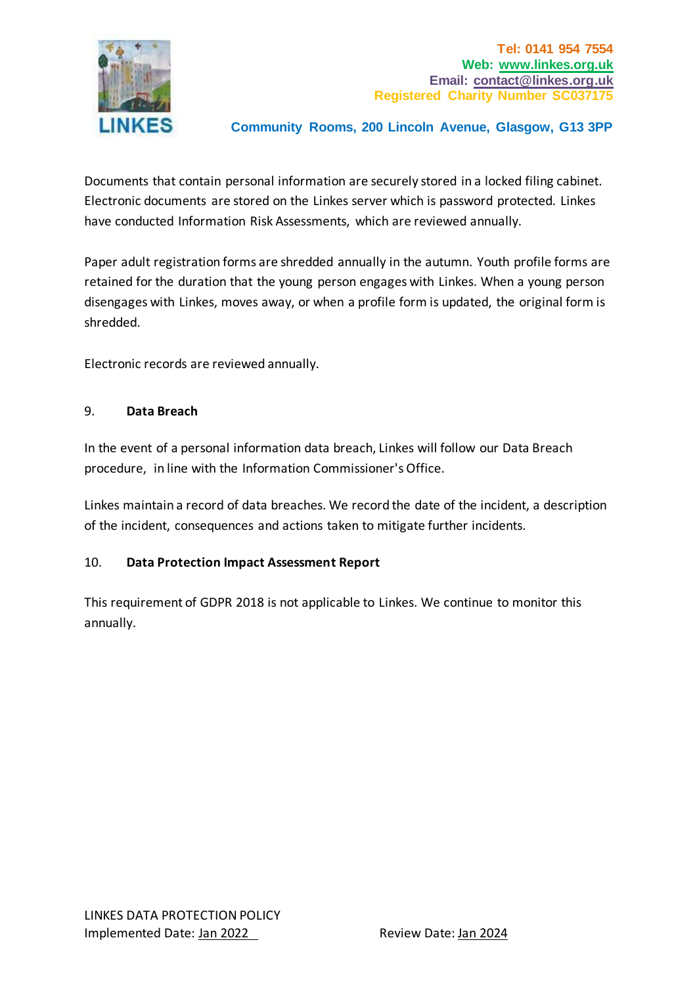

Documents that contain personal information are securely stored in a locked filing cabinet. Electronic documents are stored on the Linkes server which is password protected. Linkes have conducted Information Risk Assessments, which are reviewed annually.

Paper adult registration forms are shredded annually in the autumn. Youth profile forms are retained for the duration that the young person engages with Linkes. When a young person disengages with Linkes, moves away, or when a profile form is updated, the original form is shredded.

Electronic records are reviewed annually.

#### 9. **Data Breach**

In the event of a personal information data breach, Linkes will follow our Data Breach procedure, in line with the Information Commissioner's Office.

Linkes maintain a record of data breaches. We record the date of the incident, a description of the incident, consequences and actions taken to mitigate further incidents.

### 10. **Data Protection Impact Assessment Report**

This requirement of GDPR 2018 is not applicable to Linkes. We continue to monitor this annually.